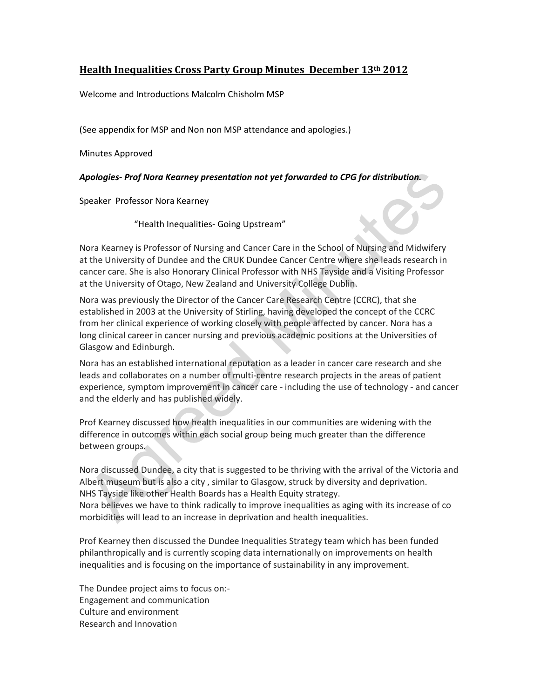# **Health Inequalities Cross Party Group Minutes December 13th 2012**

Welcome and Introductions Malcolm Chisholm MSP

(See appendix for MSP and Non non MSP attendance and apologies.)

Minutes Approved

#### *Apologies- Prof Nora Kearney presentation not yet forwarded to CPG for distribution.*

Speaker Professor Nora Kearney

"Health Inequalities- Going Upstream"

Nora Kearney is Professor of Nursing and Cancer Care in the School of Nursing and Midwifery at the University of Dundee and the CRUK Dundee Cancer Centre where she leads research in cancer care. She is also Honorary Clinical Professor with NHS Tayside and a Visiting Professor at the University of Otago, New Zealand and University College Dublin.

Nora was previously the Director of the Cancer Care Research Centre (CCRC), that she established in 2003 at the University of Stirling, having developed the concept of the CCRC from her clinical experience of working closely with people affected by cancer. Nora has a long clinical career in cancer nursing and previous academic positions at the Universities of Glasgow and Edinburgh.

Nora has an established international reputation as a leader in cancer care research and she leads and collaborates on a number of multi-centre research projects in the areas of patient experience, symptom improvement in cancer care - including the use of technology - and cancer and the elderly and has published widely.

Prof Kearney discussed how health inequalities in our communities are widening with the difference in outcomes within each social group being much greater than the difference between groups.

Nora discussed Dundee, a city that is suggested to be thriving with the arrival of the Victoria and Albert museum but is also a city , similar to Glasgow, struck by diversity and deprivation. NHS Tayside like other Health Boards has a Health Equity strategy. Nora believes we have to think radically to improve inequalities as aging with its increase of co morbidities will lead to an increase in deprivation and health inequalities.

Prof Kearney then discussed the Dundee Inequalities Strategy team which has been funded philanthropically and is currently scoping data internationally on improvements on health inequalities and is focusing on the importance of sustainability in any improvement.

The Dundee project aims to focus on:- Engagement and communication Culture and environment Research and Innovation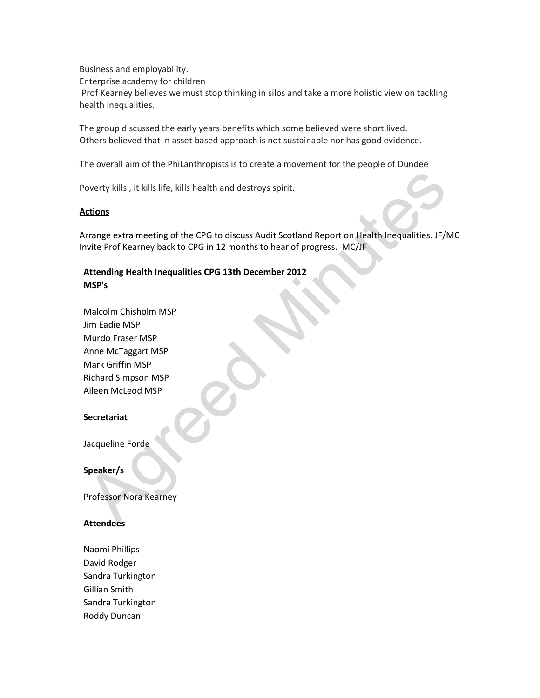Business and employability.

Enterprise academy for children

Prof Kearney believes we must stop thinking in silos and take a more holistic view on tackling health inequalities.

The group discussed the early years benefits which some believed were short lived. Others believed that n asset based approach is not sustainable nor has good evidence.

The overall aim of the PhiLanthropists is to create a movement for the people of Dundee

Poverty kills , it kills life, kills health and destroys spirit.

#### **Actions**

Arrange extra meeting of the CPG to discuss Audit Scotland Report on Health Inequalities. JF/MC Invite Prof Kearney back to CPG in 12 months to hear of progress. MC/JF

## **Attending Health Inequalities CPG 13th December 2012 MSP's**

Malcolm Chisholm MSP Jim Eadie MSP Murdo Fraser MSP Anne McTaggart MSP Mark Griffin MSP Richard Simpson MSP Aileen McLeod MSP

### **Secretariat**

Jacqueline Forde

**Speaker/s**

Professor Nora Kearney

### **Attendees**

Naomi Phillips David Rodger Sandra Turkington Gillian Smith Sandra Turkington Roddy Duncan